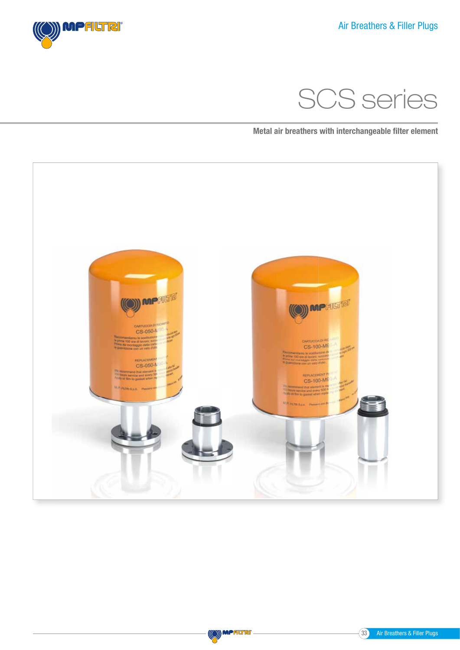



Metal air breathers with interchangeable filter element



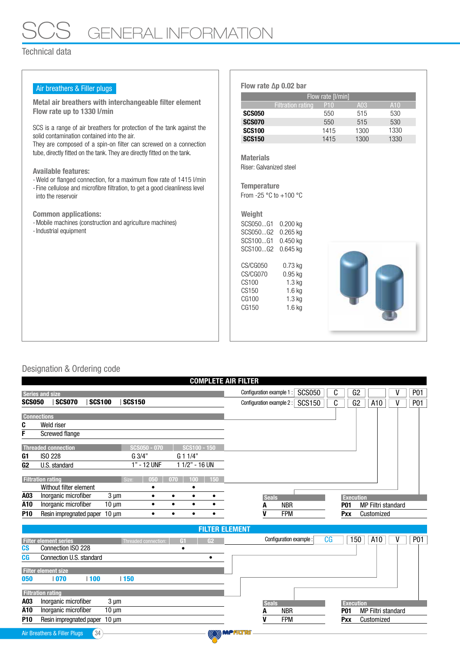# GENERAL INFORMATION

### Technical data

| Air breathers & Filler plugs                                                                                                                       | Flow rate $\Delta p$ 0.02 bar              |                 |      |                 |  |  |  |  |  |
|----------------------------------------------------------------------------------------------------------------------------------------------------|--------------------------------------------|-----------------|------|-----------------|--|--|--|--|--|
|                                                                                                                                                    | Flow rate $[1/min]$                        |                 |      |                 |  |  |  |  |  |
| Metal air breathers with interchangeable filter element                                                                                            | <b>Filtration rating</b>                   | P <sub>10</sub> | A03  | A <sub>10</sub> |  |  |  |  |  |
| Flow rate up to 1330 I/min                                                                                                                         | <b>SCS050</b>                              | 550             | 515  | 530             |  |  |  |  |  |
|                                                                                                                                                    | <b>SCS070</b>                              | 550             | 515  | 530             |  |  |  |  |  |
| SCS is a range of air breathers for protection of the tank against the                                                                             | <b>SCS100</b>                              | 1415            | 1300 | 1330            |  |  |  |  |  |
| solid contamination contained into the air.                                                                                                        | <b>SCS150</b>                              | 1415            | 1300 | 1330            |  |  |  |  |  |
| They are composed of a spin-on filter can screwed on a connection<br>tube, directly fitted on the tank. They are directly fitted on the tank.      |                                            |                 |      |                 |  |  |  |  |  |
|                                                                                                                                                    | <b>Materials</b>                           |                 |      |                 |  |  |  |  |  |
| <b>Available features:</b>                                                                                                                         | Riser: Galvanized steel                    |                 |      |                 |  |  |  |  |  |
|                                                                                                                                                    |                                            |                 |      |                 |  |  |  |  |  |
| - Weld or flanged connection, for a maximum flow rate of 1415 l/min<br>- Fine cellulose and microfibre filtration, to get a good cleanliness level | <b>Temperature</b>                         |                 |      |                 |  |  |  |  |  |
| into the reservoir                                                                                                                                 | From -25 $^{\circ}$ C to +100 $^{\circ}$ C |                 |      |                 |  |  |  |  |  |
|                                                                                                                                                    |                                            |                 |      |                 |  |  |  |  |  |
| <b>Common applications:</b>                                                                                                                        | Weight                                     |                 |      |                 |  |  |  |  |  |
| - Mobile machines (construction and agriculture machines)                                                                                          | SCS050G1 0.200 kg                          |                 |      |                 |  |  |  |  |  |
| - Industrial equipment                                                                                                                             | SCS050G2 0.265 kg                          |                 |      |                 |  |  |  |  |  |
|                                                                                                                                                    | SCS100G1 0.450 kg                          |                 |      |                 |  |  |  |  |  |
|                                                                                                                                                    | SCS100G2 0.645 kg                          |                 |      |                 |  |  |  |  |  |
|                                                                                                                                                    |                                            |                 |      |                 |  |  |  |  |  |
|                                                                                                                                                    | CS/CG050<br>$0.73$ kg                      |                 |      |                 |  |  |  |  |  |
|                                                                                                                                                    | CS/CG070<br>$0.95$ kg                      |                 |      |                 |  |  |  |  |  |
|                                                                                                                                                    | CS100<br>$1.3$ kg                          |                 |      |                 |  |  |  |  |  |
|                                                                                                                                                    | CS150<br>$1.6$ kg                          |                 |      |                 |  |  |  |  |  |
|                                                                                                                                                    | CG100<br>$1.3$ kg                          |                 |      |                 |  |  |  |  |  |
|                                                                                                                                                    | CG150<br>$1.6$ kg                          |                 |      |                 |  |  |  |  |  |
|                                                                                                                                                    |                                            |                 |      |                 |  |  |  |  |  |
|                                                                                                                                                    |                                            |                 |      |                 |  |  |  |  |  |
|                                                                                                                                                    |                                            |                 |      |                 |  |  |  |  |  |
|                                                                                                                                                    |                                            |                 |      |                 |  |  |  |  |  |

## Designation & Ordering code

|                          |                              |               |                 |               |                      |           |                |           | <b>COMPLETE AIR FILTER</b> |                           |            |                         |    |                  |     |                           |            |
|--------------------------|------------------------------|---------------|-----------------|---------------|----------------------|-----------|----------------|-----------|----------------------------|---------------------------|------------|-------------------------|----|------------------|-----|---------------------------|------------|
| <b>Series and size</b>   |                              |               |                 |               |                      |           |                |           |                            | Configuration example 1 : |            | <b>SCS050</b>           | C  |                  | G2  |                           | <b>P01</b> |
| <b>SCS050</b>            | <b>SCS070</b>                | <b>SCS100</b> |                 | <b>SCS150</b> |                      |           |                |           |                            | Configuration example 2 : |            | <b>SCS150</b>           | C  |                  | G2  | A10                       | <b>P01</b> |
| <b>Connections</b>       |                              |               |                 |               |                      |           |                |           |                            |                           |            |                         |    |                  |     |                           |            |
| C                        | Weld riser                   |               |                 |               |                      |           |                |           |                            |                           |            |                         |    |                  |     |                           |            |
| F                        | <b>Screwed flange</b>        |               |                 |               |                      |           |                |           |                            |                           |            |                         |    |                  |     |                           |            |
|                          | <b>Threaded connection</b>   |               |                 |               | SCS050 - 070         |           | SCS100 - 150   |           |                            |                           |            |                         |    |                  |     |                           |            |
| G1                       | <b>ISO 228</b>               |               |                 | G 3/4"        |                      |           | G 1 1/4"       |           |                            |                           |            |                         |    |                  |     |                           |            |
| G <sub>2</sub>           | U.S. standard                |               |                 |               | 1" - 12 UNF          |           | 1 1/2" - 16 UN |           |                            |                           |            |                         |    |                  |     |                           |            |
| <b>Filtration rating</b> |                              |               |                 | Size:         | nan                  | (17(1)    | 100.           | 150       |                            |                           |            |                         |    |                  |     |                           |            |
|                          | Without filter element       |               |                 |               |                      |           |                |           |                            |                           |            |                         |    |                  |     |                           |            |
| A03                      | Inorganic microfiber         |               | $3 \mu m$       |               | $\bullet$            | $\bullet$ | $\bullet$      | $\bullet$ |                            | <b>Seals</b>              |            |                         |    | <b>Execution</b> |     |                           |            |
| A10                      | Inorganic microfiber         |               | $10 \mu m$      |               | $\bullet$            | $\bullet$ | $\bullet$      | $\bullet$ |                            | A                         | <b>NBR</b> |                         |    | <b>P01</b>       |     | <b>MP Filtri standard</b> |            |
| P <sub>10</sub>          | Resin impregnated paper      |               | $10 \text{ µm}$ |               | $\bullet$            | $\bullet$ | $\bullet$      |           |                            | v                         | <b>FPM</b> |                         |    | Pxx              |     | Customized                |            |
|                          |                              |               |                 |               |                      |           |                |           | <b>FILTER ELEMENT</b>      |                           |            |                         |    |                  |     |                           |            |
|                          | <b>Filter element series</b> |               |                 |               | Threaded connection: |           | G1             | G2        |                            |                           |            | Configuration example : | CG |                  | 150 | A10                       | P01        |
| c <sub>S</sub>           | Connection ISO 228           |               |                 |               |                      |           | ٠              |           |                            |                           |            |                         |    |                  |     |                           |            |
| CG                       | Connection U.S. standard     |               |                 |               |                      |           |                | ٠         |                            |                           |            |                         |    |                  |     |                           |            |
|                          | <b>Filter element size</b>   |               |                 |               |                      |           |                |           |                            |                           |            |                         |    |                  |     |                           |            |
| 050                      | 070                          | 100           |                 | 150           |                      |           |                |           |                            |                           |            |                         |    |                  |     |                           |            |
| <b>Filtration rating</b> |                              |               |                 |               |                      |           |                |           |                            |                           |            |                         |    |                  |     |                           |            |
| A03                      | Inorganic microfiber         |               | $3 \mu m$       |               |                      |           |                |           |                            | <b>Seals</b>              |            |                         |    | <b>Execution</b> |     |                           |            |
| A10                      | Inorganic microfiber         |               | $10 \mu m$      |               |                      |           |                |           |                            |                           | <b>NBR</b> |                         |    | <b>P01</b>       |     | <b>MP Filtri standard</b> |            |
| <b>P10</b>               | Resin impregnated paper      |               | $10 \mu m$      |               |                      |           |                |           |                            | v                         | <b>FPM</b> |                         |    | Pxx              |     | Customized                |            |
|                          | Air Breathers & Filler Plugs | 34            |                 |               |                      |           |                |           | (O) MPALTR                 |                           |            |                         |    |                  |     |                           |            |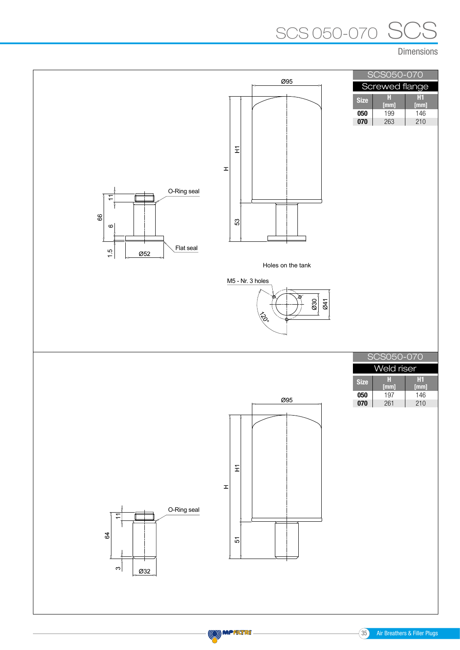# SCS SCS 050-070

Dimensions